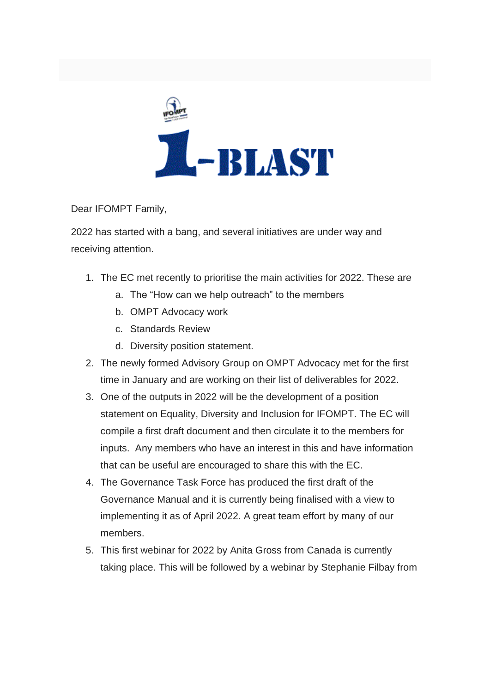

Dear IFOMPT Family,

2022 has started with a bang, and several initiatives are under way and receiving attention.

- 1. The EC met recently to prioritise the main activities for 2022. These are
	- a. The "How can we help outreach" to the members
	- b. OMPT Advocacy work
	- c. Standards Review
	- d. Diversity position statement.
- 2. The newly formed Advisory Group on OMPT Advocacy met for the first time in January and are working on their list of deliverables for 2022.
- 3. One of the outputs in 2022 will be the development of a position statement on Equality, Diversity and Inclusion for IFOMPT. The EC will compile a first draft document and then circulate it to the members for inputs. Any members who have an interest in this and have information that can be useful are encouraged to share this with the EC.
- 4. The Governance Task Force has produced the first draft of the Governance Manual and it is currently being finalised with a view to implementing it as of April 2022. A great team effort by many of our members.
- 5. This first webinar for 2022 by Anita Gross from Canada is currently taking place. This will be followed by a webinar by Stephanie Filbay from